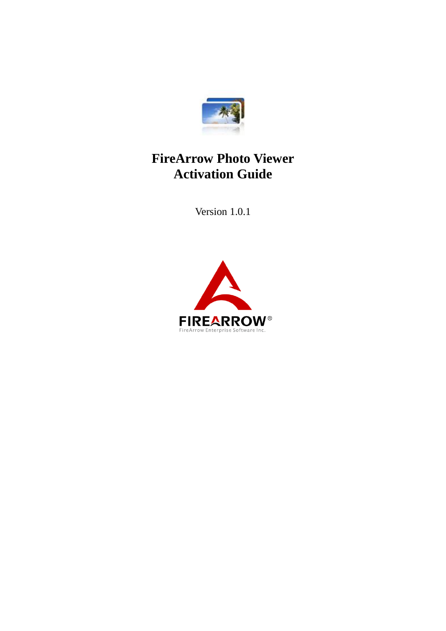

### **FireArrow Photo Viewer Activation Guide**

Version 1.0.1

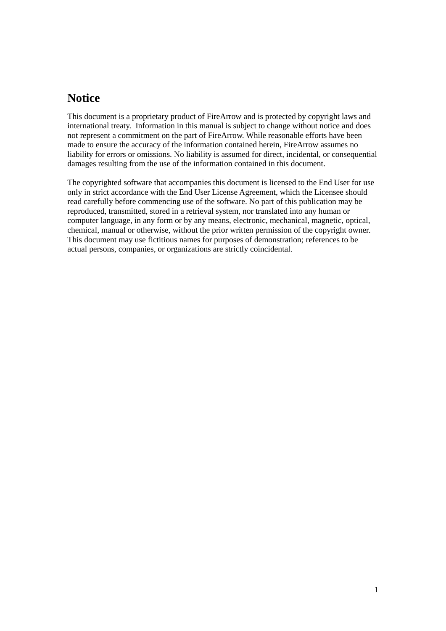#### **Notice**

This document is a proprietary product of FireArrow and is protected by copyright laws and international treaty. Information in this manual is subject to change without notice and does not represent a commitment on the part of FireArrow. While reasonable efforts have been made to ensure the accuracy of the information contained herein, FireArrow assumes no liability for errors or omissions. No liability is assumed for direct, incidental, or consequential damages resulting from the use of the information contained in this document.

The copyrighted software that accompanies this document is licensed to the End User for use only in strict accordance with the End User License Agreement, which the Licensee should read carefully before commencing use of the software. No part of this publication may be reproduced, transmitted, stored in a retrieval system, nor translated into any human or computer language, in any form or by any means, electronic, mechanical, magnetic, optical, chemical, manual or otherwise, without the prior written permission of the copyright owner. This document may use fictitious names for purposes of demonstration; references to be actual persons, companies, or organizations are strictly coincidental.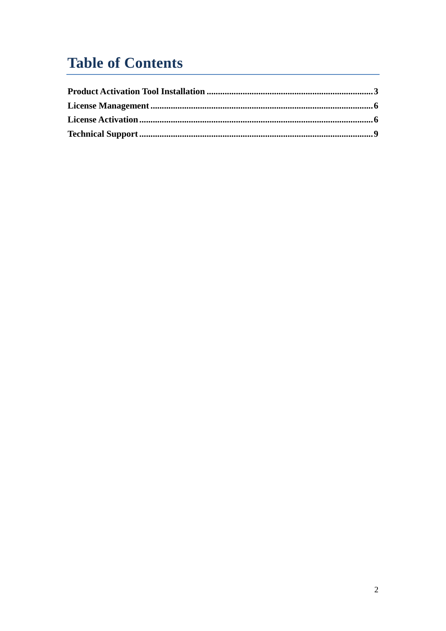# **Table of Contents**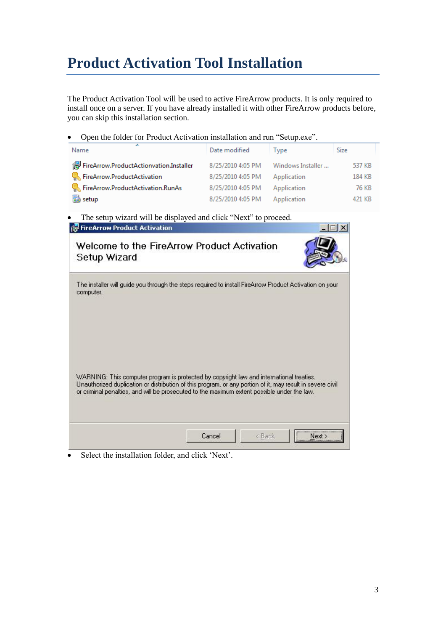## <span id="page-3-0"></span>**Product Activation Tool Installation**

The Product Activation Tool will be used to active FireArrow products. It is only required to install once on a server. If you have already installed it with other FireArrow products before, you can skip this installation section.

Open the folder for Product Activation installation and run "Setup.exe".

| ÷.<br>Name                                          | Date modified     | Type              | Size   |
|-----------------------------------------------------|-------------------|-------------------|--------|
| FireArrow.ProductActionvation.Installer             | 8/25/2010 4:05 PM | Windows Installer | 537 KB |
| <b>B</b> <sub>b</sub> , FireArrow.ProductActivation | 8/25/2010 4:05 PM | Application       | 184 KB |
| <b>Co.</b> FireArrow.ProductActivation.RunAs        | 8/25/2010 4:05 PM | Application       | 76 KB  |
| to setup                                            | 8/25/2010 4:05 PM | Application       | 421 KB |

• The setup wizard will be displayed and click "Next" to proceed.

| <b>FireArrow Product Activation</b>                                                                                                                                                                                                                                                                   |  |  |
|-------------------------------------------------------------------------------------------------------------------------------------------------------------------------------------------------------------------------------------------------------------------------------------------------------|--|--|
| Welcome to the FireArrow Product Activation<br>Setup Wizard                                                                                                                                                                                                                                           |  |  |
| The installer will guide you through the steps required to install FireArrow Product Activation on your<br>computer.                                                                                                                                                                                  |  |  |
|                                                                                                                                                                                                                                                                                                       |  |  |
| WARNING: This computer program is protected by copyright law and international treaties.<br>Unauthorized duplication or distribution of this program, or any portion of it, may result in severe civil<br>or criminal penalties, and will be prosecuted to the maximum extent possible under the law. |  |  |
|                                                                                                                                                                                                                                                                                                       |  |  |

Select the installation folder, and click 'Next'.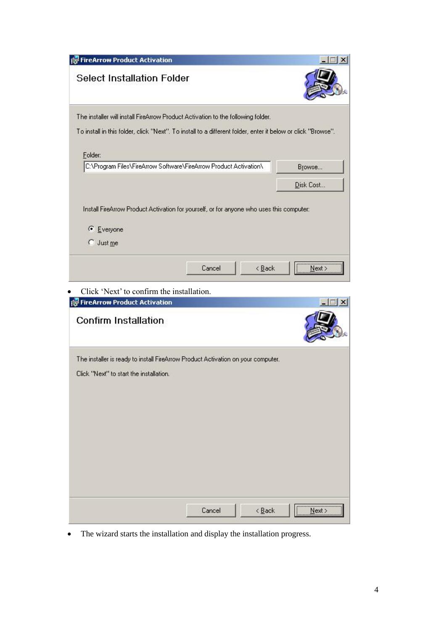|                                                                        | <b>FireArrow Product Activation</b>                                                                          |             |
|------------------------------------------------------------------------|--------------------------------------------------------------------------------------------------------------|-------------|
| <b>Select Installation Folder</b>                                      |                                                                                                              |             |
|                                                                        | The installer will install FireArrow Product Activation to the following folder.                             |             |
|                                                                        | To install in this folder, click "Next". To install to a different folder, enter it below or click "Browse". |             |
| Folder:                                                                |                                                                                                              |             |
|                                                                        | C:\Program Files\FireArrow Software\FireArrow Product Activation\                                            | Browse      |
|                                                                        |                                                                                                              | Disk Cost   |
|                                                                        |                                                                                                              |             |
|                                                                        | Install FireArrow Product Activation for yourself, or for anyone who uses this computer:                     |             |
| $C$ Everyone                                                           |                                                                                                              |             |
| $\bigcap$ Just me                                                      |                                                                                                              |             |
|                                                                        |                                                                                                              |             |
|                                                                        | Cancel<br>$\leq$ $\underline{B}$ ack                                                                         | Next >      |
|                                                                        |                                                                                                              |             |
|                                                                        |                                                                                                              |             |
| Click 'Next' to confirm the installation.                              |                                                                                                              |             |
| <b>FireArrow Product Activation</b>                                    |                                                                                                              |             |
|                                                                        |                                                                                                              |             |
|                                                                        | The installer is ready to install FireArrow Product Activation on your computer.                             |             |
|                                                                        |                                                                                                              |             |
|                                                                        |                                                                                                              |             |
|                                                                        |                                                                                                              |             |
|                                                                        |                                                                                                              |             |
|                                                                        |                                                                                                              |             |
|                                                                        |                                                                                                              |             |
|                                                                        |                                                                                                              |             |
|                                                                        |                                                                                                              |             |
| <b>Confirm Installation</b><br>Click "Next" to start the installation. |                                                                                                              |             |
|                                                                        | Cancel<br>$\leq$ $\underline{\mathsf{Back}}$                                                                 | ,<br>Next > |

The wizard starts the installation and display the installation progress.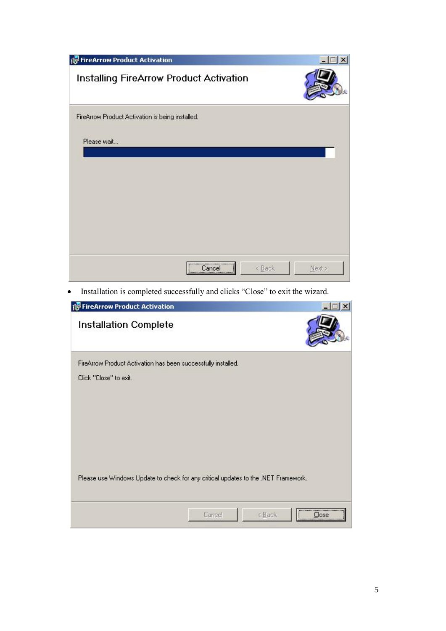| FireArrow Product Activation                     |            |        | $\times$ |
|--------------------------------------------------|------------|--------|----------|
| Installing FireArrow Product Activation          |            |        |          |
| FireArrow Product Activation is being installed. |            |        |          |
| Please wait                                      |            |        |          |
|                                                  |            |        |          |
|                                                  |            |        |          |
|                                                  |            |        |          |
|                                                  |            |        |          |
|                                                  |            |        |          |
|                                                  |            |        |          |
|                                                  |            |        |          |
|                                                  |            |        |          |
|                                                  | Cancel<br> | < Back | Next>    |

• Installation is completed successfully and clicks "Close" to exit the wizard.

| FireArrow Product Activation                                                            |                                                                                                        | $\vert x \vert$ |
|-----------------------------------------------------------------------------------------|--------------------------------------------------------------------------------------------------------|-----------------|
| <b>Installation Complete</b>                                                            |                                                                                                        |                 |
| FireArrow Product Activation has been successfully installed.<br>Click "Close" to exit. |                                                                                                        |                 |
|                                                                                         | Please use Windows Update to check for any critical updates to the .NET Framework.<br>Cancel<br>< Back | <br>Close       |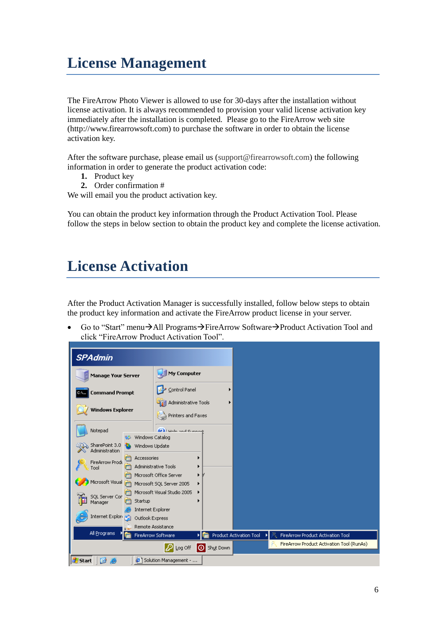## <span id="page-6-0"></span>**License Management**

The FireArrow Photo Viewer is allowed to use for 30-days after the installation without license activation. It is always recommended to provision your valid license activation key immediately after the installation is completed. Please go to the FireArrow web site (http://www.firearrowsoft.com) to purchase the software in order to obtain the license activation key.

After the software purchase, please email us [\(support@firearrowsoft.com\)](mailto:support@firearrowsoft.com) the following information in order to generate the product activation code:

- **1.** Product key
- **2.** Order confirmation #

We will email you the product activation key.

You can obtain the product key information through the Product Activation Tool. Please follow the steps in below section to obtain the product key and complete the license activation.

### <span id="page-6-1"></span>**License Activation**

After the Product Activation Manager is successfully installed, follow below steps to obtain the product key information and activate the FireArrow product license in your server.

Go to "Start" menu $\rightarrow$ All Programs $\rightarrow$ FireArrow Software $\rightarrow$ Product Activation Tool and click "FireArrow Product Activation Tool".

| <b>SPAdmin</b>                   |                              |                                         |                    |                                |   |                                   |                                           |
|----------------------------------|------------------------------|-----------------------------------------|--------------------|--------------------------------|---|-----------------------------------|-------------------------------------------|
| <b>Manage Your Server</b>        |                              | My Computer                             |                    |                                |   |                                   |                                           |
| <b>Command Prompt</b><br>C.V     |                              | Control Panel                           |                    |                                |   |                                   |                                           |
|                                  |                              | Administrative Tools                    |                    |                                |   |                                   |                                           |
| <b>Windows Explorer</b>          |                              | Printers and Faxes                      |                    |                                |   |                                   |                                           |
| Notepad                          |                              | <b>Call Hole and Cunnoy</b>             |                    |                                |   |                                   |                                           |
|                                  | Windows Catalog<br>w         |                                         |                    |                                |   |                                   |                                           |
| SharePoint 3.0<br>Administration | Windows Update               |                                         |                    |                                |   |                                   |                                           |
| FireArrow Produ                  | Accessories<br><b>HI</b>     |                                         |                    |                                |   |                                   |                                           |
| Tool                             |                              | Administrative Tools                    |                    |                                |   |                                   |                                           |
|                                  |                              | Microsoft Office Server                 |                    |                                |   |                                   |                                           |
| Microsoft Visual                 | G                            | Microsoft SQL Server 2005               |                    |                                |   |                                   |                                           |
| SQL Server Cor                   | т                            | Microsoft Visual Studio 2005            |                    |                                |   |                                   |                                           |
| Manager                          | Startup<br>Internet Explorer |                                         |                    |                                |   |                                   |                                           |
| Internet Explori                 | Outlook Express              |                                         |                    |                                |   |                                   |                                           |
|                                  |                              | Remote Assistance                       |                    |                                |   |                                   |                                           |
| All Programs                     | 屇                            | FireArrow Software                      |                    | <b>Product Activation Tool</b> | Ã | FireArrow Product Activation Tool |                                           |
|                                  |                              | $\underline{\mathsf{Log}}~\mathsf{Off}$ | <b>O</b> Shut Down |                                |   |                                   | FireArrow Product Activation Tool (RunAs) |
| <b>de</b> Start<br>Ø             | ë                            | Solution Management -                   |                    |                                |   |                                   |                                           |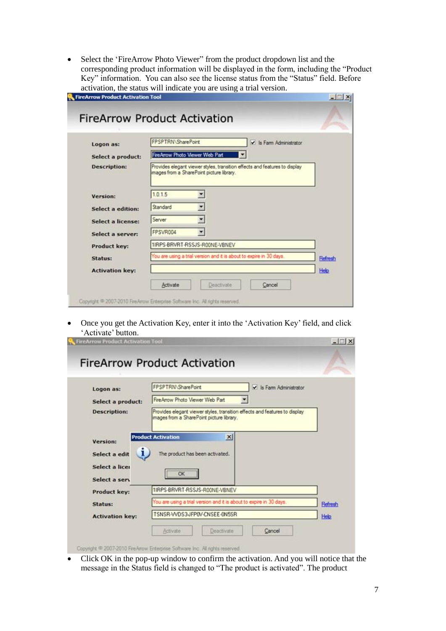• Select the 'FireArrow Photo Viewer'' from the product dropdown list and the corresponding product information will be displayed in the form, including the "Product Key" information. You can also see the license status from the "Status" field. Before activation, the status will indicate you are using a trial version.

| FireArrow Product Activation Tool |                                                                                                                        | $-12x$  |
|-----------------------------------|------------------------------------------------------------------------------------------------------------------------|---------|
|                                   | <b>FireArrow Product Activation</b>                                                                                    |         |
| Logon as:                         | FPSPTRN\SharePoint<br>V Is Farm Administrator                                                                          |         |
| Select a product:                 | FireArrow Photo Viewer Web Part                                                                                        |         |
| <b>Description:</b>               | Provides elegant viewer styles, transition effects and features to display<br>mages from a SharePoint picture library. |         |
| Version:                          | 1.0.1.5                                                                                                                |         |
| <b>Select a edition:</b>          | Standard                                                                                                               |         |
| <b>Select a license:</b>          | Server                                                                                                                 |         |
| Select a server:                  | FPSVR004                                                                                                               |         |
| Product key:                      | 1IRPS-BRVRT-RSSJS-R00NE-VBNEV                                                                                          |         |
| Status:                           | You are using a trial version and it is about to expire in 30 days.                                                    | Refresh |
| <b>Activation key:</b>            |                                                                                                                        | Help    |
|                                   | Deactivate<br>Activate<br>Cancel                                                                                       |         |
|                                   |                                                                                                                        |         |

 Once you get the Activation Key, enter it into the 'Activation Key' field, and click 'Activate' button.

| Logon as:           | FPSPTRN\SharePoint<br>$\vee$ Is Farm Administrator                                                                      |         |
|---------------------|-------------------------------------------------------------------------------------------------------------------------|---------|
| Select a product:   | FireArrow Photo Viewer Web Part                                                                                         |         |
| <b>Description:</b> | Provides elegant viewer styles, transition effects and features to display<br>images from a SharePoint picture library. |         |
| <b>Version:</b>     | <b>Product Activation</b><br>$\times$                                                                                   |         |
|                     |                                                                                                                         |         |
| L<br>Select a edit  | The product has been activated.                                                                                         |         |
| Select a licer      |                                                                                                                         |         |
| Select a serv       | OK                                                                                                                      |         |
| Product key:        | 1IRPS-BRVRT-RSSJS-R00NE-VBNEV                                                                                           |         |
| Status:             | You are using a trial version and it is about to expire in 30 days.                                                     | Refresh |

 Click OK in the pop-up window to confirm the activation. And you will notice that the message in the Status field is changed to "The product is activated". The product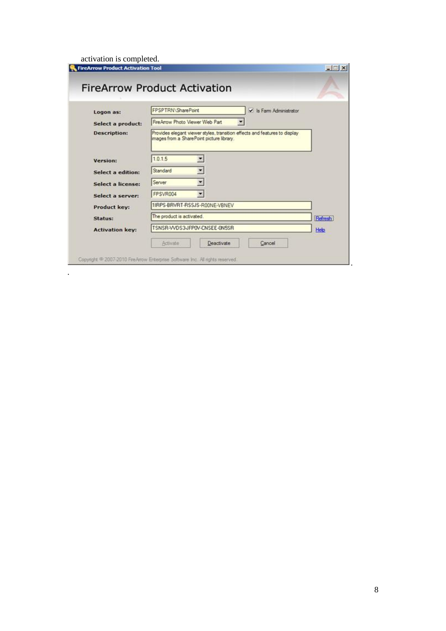activation is completed.

.

| Logon as:                | FPSPTRN\SharePoint<br>V Is Farm Administrator                                                                           |         |
|--------------------------|-------------------------------------------------------------------------------------------------------------------------|---------|
| Select a product:        | FireArrow Photo Viewer Web Part                                                                                         |         |
| <b>Description:</b>      | Provides elegant viewer styles, transition effects and features to display<br>images from a SharePoint picture library. |         |
| Version:                 | 1.0.1.5                                                                                                                 |         |
| <b>Select a edition:</b> | Standard                                                                                                                |         |
| <b>Select a license:</b> | Server                                                                                                                  |         |
| Select a server:         | FPSVR004                                                                                                                |         |
| Product key:             | 1IRPS-BRVRT-RSSJS-R00NE-VBNEV                                                                                           |         |
| Status:                  | The product is activated.                                                                                               | Refresh |
|                          | TSNSR-WDS3-JFP0V-CNSEE-0N5SR                                                                                            | Help    |